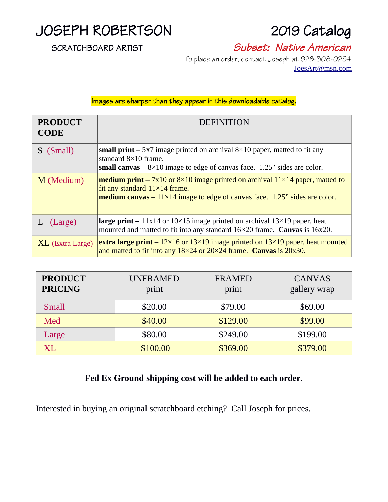

#### SCRATCHBOARD ARTIST Subset: Native American

 To place an order, contact Joseph at 928-308-0254 [JoesArt@msn.com](mailto:JoesArt@msn.com)

Images are sharper than they appear in this downloadable catalog.

| <b>PRODUCT</b><br><b>CODE</b> | <b>DEFINITION</b>                                                                                                                                                                                                                      |  |  |
|-------------------------------|----------------------------------------------------------------------------------------------------------------------------------------------------------------------------------------------------------------------------------------|--|--|
| S (Small)                     | <b>small print</b> $-$ 5x7 image printed on archival $8 \times 10$ paper, matted to fit any<br>standard 8×10 frame.<br>small canvas $-8\times10$ image to edge of canvas face. 1.25" sides are color.                                  |  |  |
| M (Medium)                    | <b>medium print</b> – 7x10 or $8\times10$ image printed on archival $11\times14$ paper, matted to<br>fit any standard $11\times14$ frame.<br><b>medium canvas</b> $-11 \times 14$ image to edge of canvas face. 1.25" sides are color. |  |  |
| L (Large)                     | <b>large print</b> – $11x14$ or $10\times15$ image printed on archival $13\times19$ paper, heat<br>mounted and matted to fit into any standard 16×20 frame. Canvas is 16x20.                                                           |  |  |
| <b>XL</b> (Extra Large)       | <b>extra large print</b> – $12 \times 16$ or $13 \times 19$ image printed on $13 \times 19$ paper, heat mounted<br>and matted to fit into any $18\times24$ or $20\times24$ frame. Canvas is $20x30$ .                                  |  |  |

| <b>PRODUCT</b><br><b>PRICING</b> | <b>UNFRAMED</b><br>print | <b>FRAMED</b><br>print | <b>CANVAS</b><br>gallery wrap |
|----------------------------------|--------------------------|------------------------|-------------------------------|
| Small                            | \$20.00                  | \$79.00                | \$69.00                       |
| Med                              | \$40.00                  | \$129.00               | \$99.00                       |
| Large                            | \$80.00                  | \$249.00               | \$199.00                      |
| XL.                              | \$100.00                 | \$369.00               | \$379.00                      |

#### **Fed Ex Ground shipping cost will be added to each order.**

Interested in buying an original scratchboard etching? Call Joseph for prices.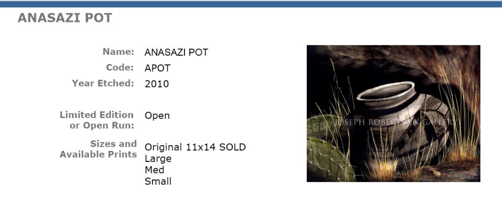## **ANASAZI POT**

Name: ANASAZI POT Code: APOT Year Etched: 2010

**Limited Edition Open** or Open Run:

Sizes and Original 11x14 SOLD **Available Prints** Large Med Small

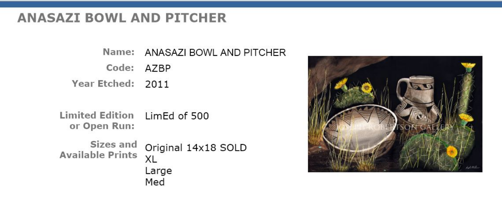### **ANASAZI BOWL AND PITCHER**

Name: ANASAZI BOWL AND PITCHER Code: AZBP Year Etched: 2011

Limited Edition LimEd of 500 or Open Run:

Sizes and Original 14x18 SOLD **Available Prints** XL Large Med

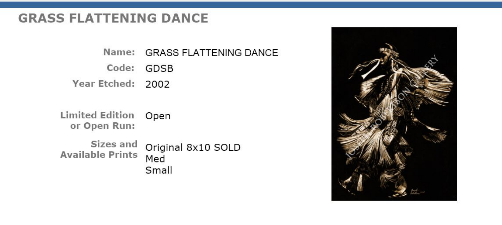# **GRASS FLATTENING DANCE**

Name: GRASS FLATTENING DANCE

Code: GDSB Year Etched: 2002

**Limited Edition Open** or Open Run:

Sizes and Original 8x10 SOLD **Available Prints** Med Small

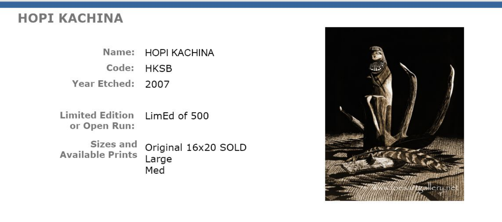## **HOPI KACHINA**

Name: HOPI KACHINA Code: HKSB Year Etched: 2007

Limited Edition LimEd of 500 or Open Run:

Sizes and Original 16x20 SOLD **Available Prints** Large Med

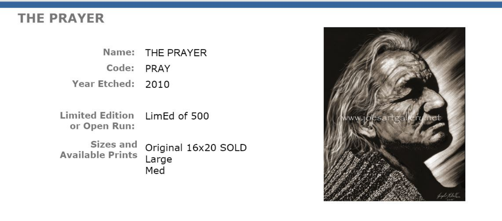# **THE PRAYER**

Name: THE PRAYER Code: PRAY Year Etched: 2010

Limited Edition LimEd of 500 or Open Run:

Sizes and Original 16x20 SOLD Available Prints Large Med